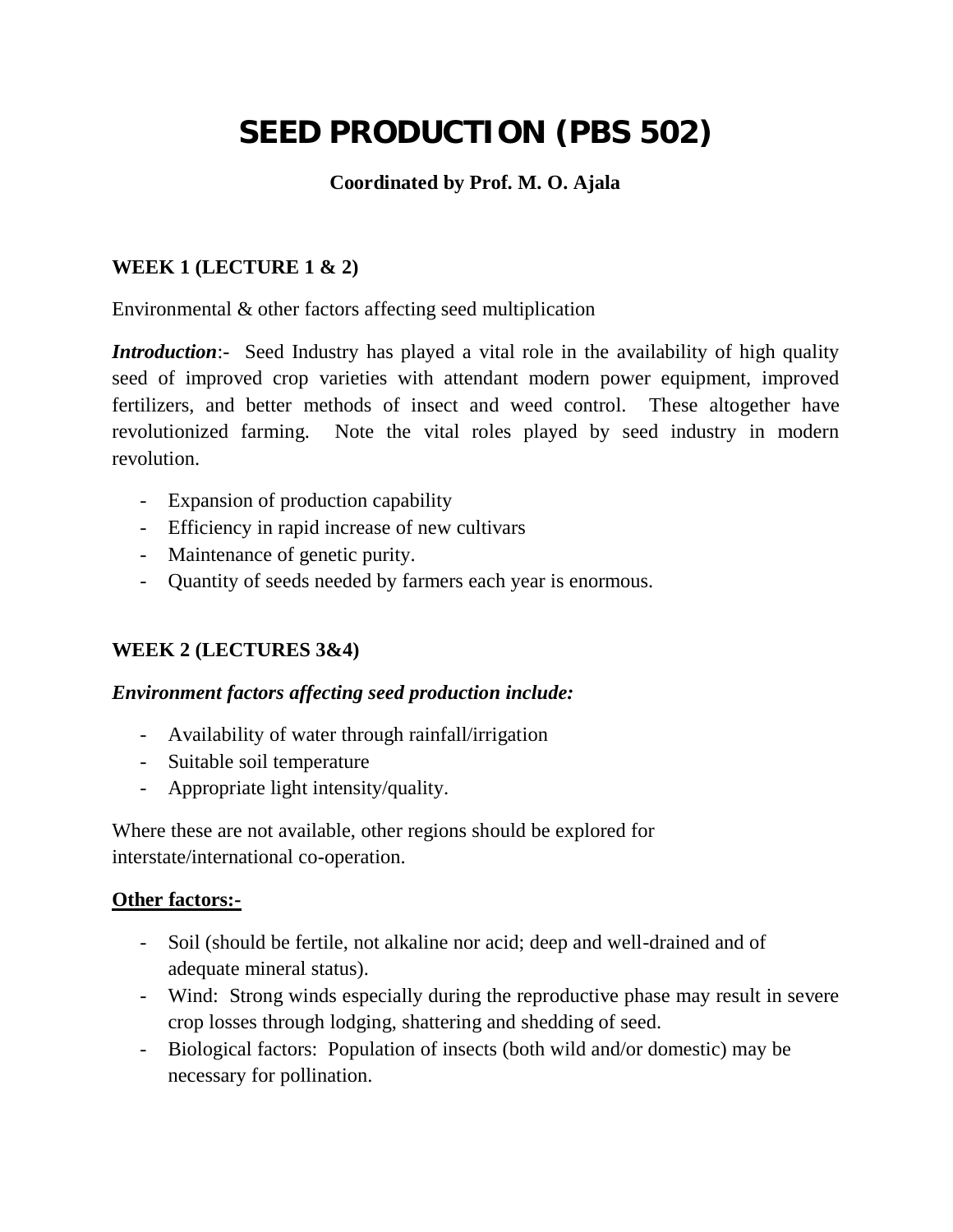# **SEED PRODUCTION (PBS 502)**

## **Coordinated by Prof. M. O. Ajala**

## **WEEK 1 (LECTURE 1 & 2)**

Environmental & other factors affecting seed multiplication

*Introduction*:- Seed Industry has played a vital role in the availability of high quality seed of improved crop varieties with attendant modern power equipment, improved fertilizers, and better methods of insect and weed control. These altogether have revolutionized farming. Note the vital roles played by seed industry in modern revolution.

- Expansion of production capability
- Efficiency in rapid increase of new cultivars
- Maintenance of genetic purity.
- Quantity of seeds needed by farmers each year is enormous.

## **WEEK 2 (LECTURES 3&4)**

#### *Environment factors affecting seed production include:*

- Availability of water through rainfall/irrigation
- Suitable soil temperature
- Appropriate light intensity/quality.

Where these are not available, other regions should be explored for interstate/international co-operation.

#### **Other factors:-**

- Soil (should be fertile, not alkaline nor acid; deep and well-drained and of adequate mineral status).
- Wind: Strong winds especially during the reproductive phase may result in severe crop losses through lodging, shattering and shedding of seed.
- Biological factors: Population of insects (both wild and/or domestic) may be necessary for pollination.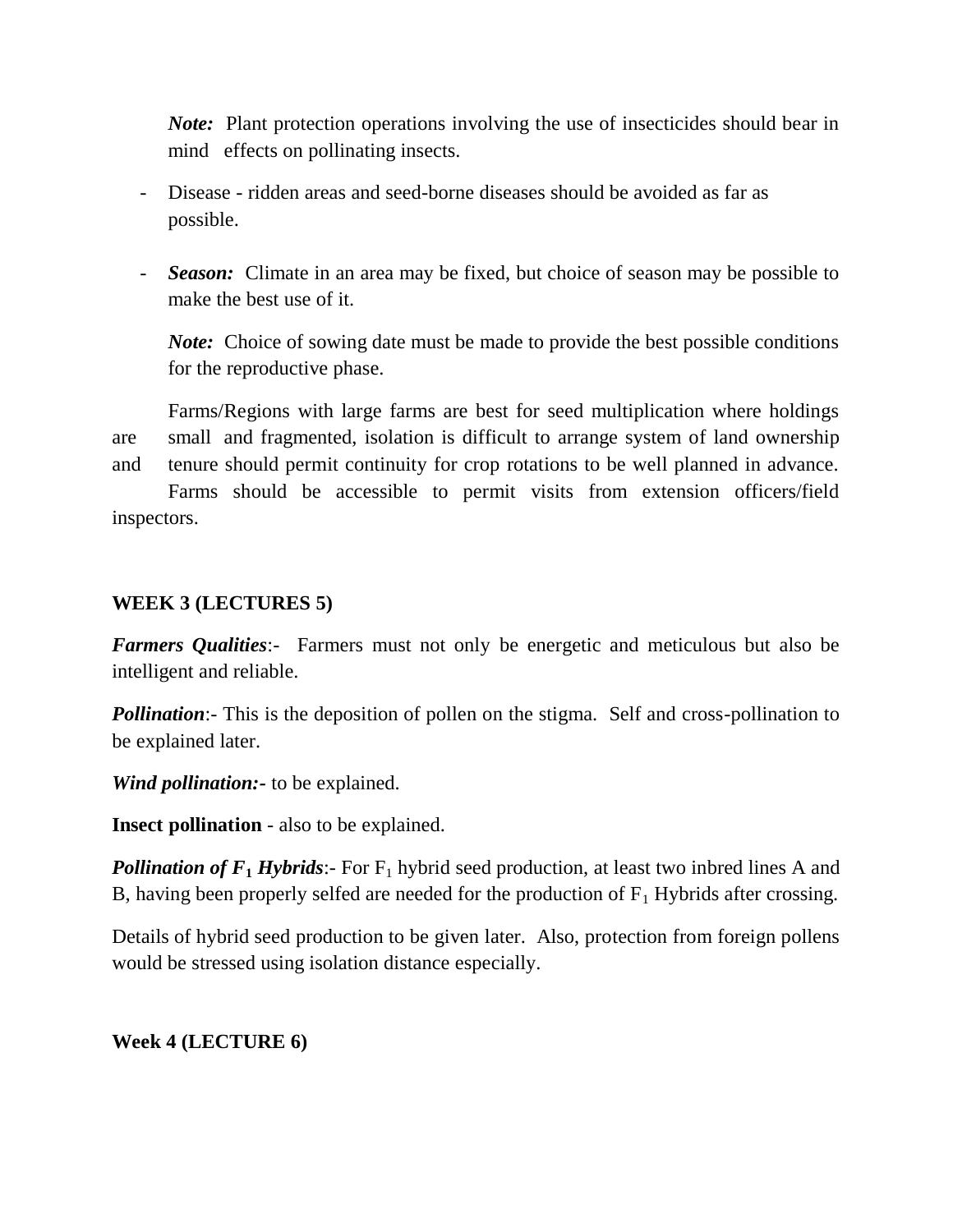*Note:* Plant protection operations involving the use of insecticides should bear in mind effects on pollinating insects.

- Disease ridden areas and seed-borne diseases should be avoided as far as possible.
- *Season:* Climate in an area may be fixed, but choice of season may be possible to make the best use of it.

*Note:* Choice of sowing date must be made to provide the best possible conditions for the reproductive phase.

Farms/Regions with large farms are best for seed multiplication where holdings are small and fragmented, isolation is difficult to arrange system of land ownership and tenure should permit continuity for crop rotations to be well planned in advance. Farms should be accessible to permit visits from extension officers/field

inspectors.

#### **WEEK 3 (LECTURES 5)**

*Farmers Qualities*:- Farmers must not only be energetic and meticulous but also be intelligent and reliable.

*Pollination*:- This is the deposition of pollen on the stigma. Self and cross-pollination to be explained later.

*Wind pollination:-* to be explained.

**Insect pollination** - also to be explained.

**Pollination of**  $F_1$ *Hybrids*: For  $F_1$  hybrid seed production, at least two inbred lines A and B, having been properly selfed are needed for the production of  $F_1$  Hybrids after crossing.

Details of hybrid seed production to be given later. Also, protection from foreign pollens would be stressed using isolation distance especially.

#### **Week 4 (LECTURE 6)**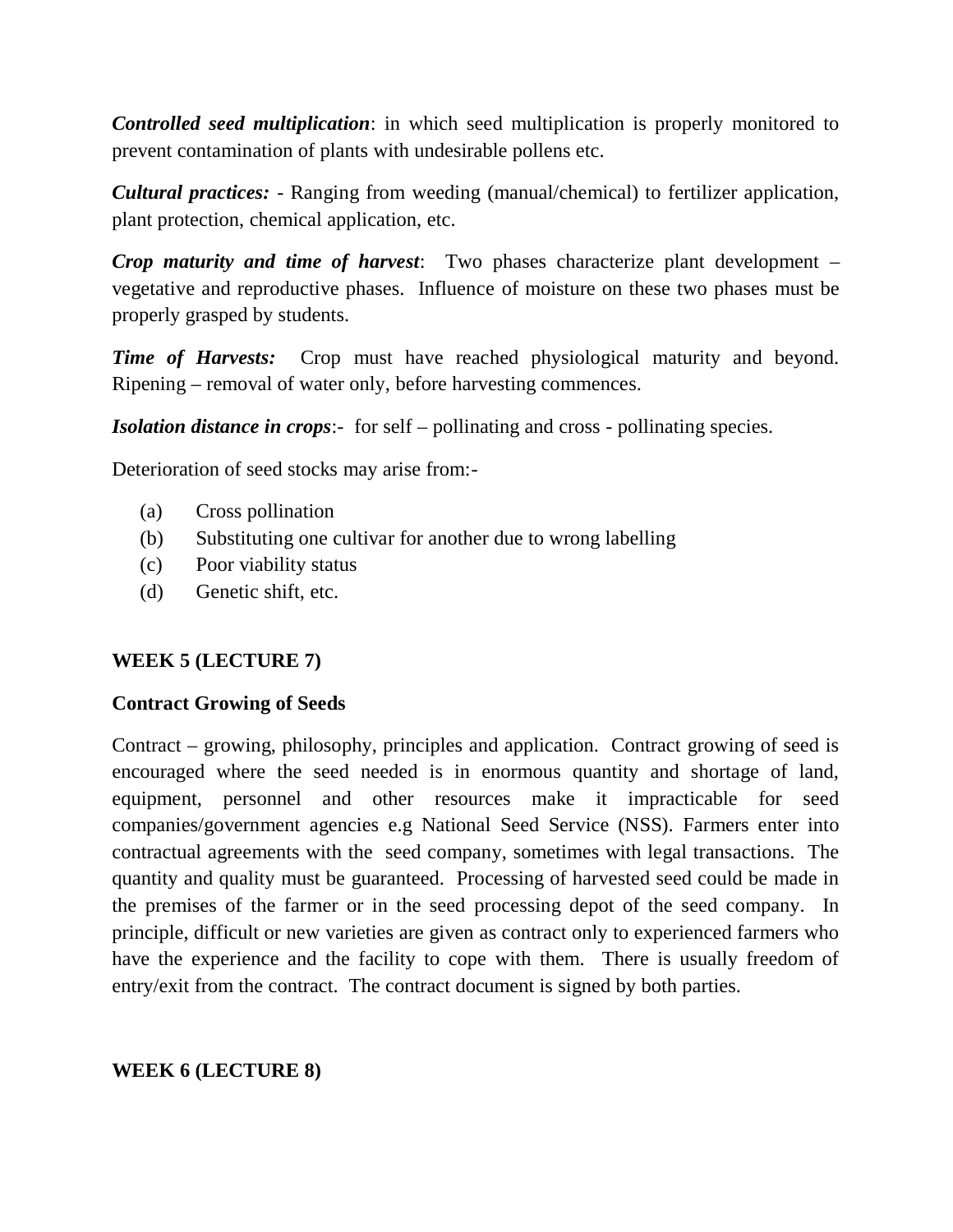*Controlled seed multiplication*: in which seed multiplication is properly monitored to prevent contamination of plants with undesirable pollens etc.

*Cultural practices:* - Ranging from weeding (manual/chemical) to fertilizer application, plant protection, chemical application, etc.

*Crop maturity and time of harvest*: Two phases characterize plant development – vegetative and reproductive phases. Influence of moisture on these two phases must be properly grasped by students.

*Time of Harvests:* Crop must have reached physiological maturity and beyond. Ripening – removal of water only, before harvesting commences.

*Isolation distance in crops*:- for self – pollinating and cross - pollinating species.

Deterioration of seed stocks may arise from:-

- (a) Cross pollination
- (b) Substituting one cultivar for another due to wrong labelling
- (c) Poor viability status
- (d) Genetic shift, etc.

## **WEEK 5 (LECTURE 7)**

#### **Contract Growing of Seeds**

Contract – growing, philosophy, principles and application. Contract growing of seed is encouraged where the seed needed is in enormous quantity and shortage of land, equipment, personnel and other resources make it impracticable for seed companies/government agencies e.g National Seed Service (NSS). Farmers enter into contractual agreements with the seed company, sometimes with legal transactions. The quantity and quality must be guaranteed. Processing of harvested seed could be made in the premises of the farmer or in the seed processing depot of the seed company. In principle, difficult or new varieties are given as contract only to experienced farmers who have the experience and the facility to cope with them. There is usually freedom of entry/exit from the contract. The contract document is signed by both parties.

## **WEEK 6 (LECTURE 8)**